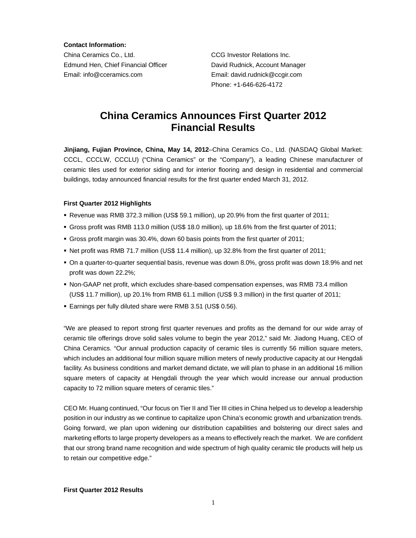**Contact Information:** 

China Ceramics Co., Ltd. CCG Investor Relations Inc. Edmund Hen, Chief Financial Officer David Rudnick, Account Manager Email: info@cceramics.com Email: david.rudnick@ccgir.com

Phone: +1-646-626-4172

# **China Ceramics Announces First Quarter 2012 Financial Results**

**Jinjiang, Fujian Province, China, May 14, 2012**–China Ceramics Co., Ltd. (NASDAQ Global Market: CCCL, CCCLW, CCCLU) ("China Ceramics" or the "Company"), a leading Chinese manufacturer of ceramic tiles used for exterior siding and for interior flooring and design in residential and commercial buildings, today announced financial results for the first quarter ended March 31, 2012.

### **First Quarter 2012 Highlights**

- Revenue was RMB 372.3 million (US\$ 59.1 million), up 20.9% from the first quarter of 2011;
- Gross profit was RMB 113.0 million (US\$ 18.0 million), up 18.6% from the first quarter of 2011;
- Gross profit margin was 30.4%, down 60 basis points from the first quarter of 2011;
- Net profit was RMB 71.7 million (US\$ 11.4 million), up 32.8% from the first quarter of 2011;
- On a quarter-to-quarter sequential basis, revenue was down 8.0%, gross profit was down 18.9% and net profit was down 22.2%;
- Non-GAAP net profit, which excludes share-based compensation expenses, was RMB 73.4 million (US\$ 11.7 million), up 20.1% from RMB 61.1 million (US\$ 9.3 million) in the first quarter of 2011;
- Earnings per fully diluted share were RMB 3.51 (US\$ 0.56).

"We are pleased to report strong first quarter revenues and profits as the demand for our wide array of ceramic tile offerings drove solid sales volume to begin the year 2012," said Mr. Jiadong Huang, CEO of China Ceramics. "Our annual production capacity of ceramic tiles is currently 56 million square meters, which includes an additional four million square million meters of newly productive capacity at our Hengdali facility. As business conditions and market demand dictate, we will plan to phase in an additional 16 million square meters of capacity at Hengdali through the year which would increase our annual production capacity to 72 million square meters of ceramic tiles."

CEO Mr. Huang continued, "Our focus on Tier II and Tier III cities in China helped us to develop a leadership position in our industry as we continue to capitalize upon China's economic growth and urbanization trends. Going forward, we plan upon widening our distribution capabilities and bolstering our direct sales and marketing efforts to large property developers as a means to effectively reach the market. We are confident that our strong brand name recognition and wide spectrum of high quality ceramic tile products will help us to retain our competitive edge."

### **First Quarter 2012 Results**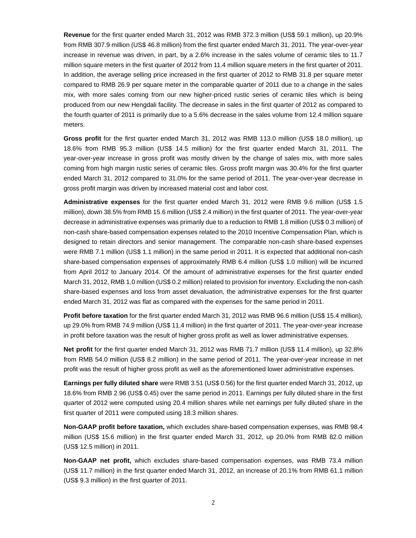**Revenue** for the first quarter ended March 31, 2012 was RMB 372.3 million (US\$ 59.1 million), up 20.9% from RMB 307.9 million (US\$ 46.8 million) from the first quarter ended March 31, 2011. The year-over-year increase in revenue was driven, in part, by a 2.6% increase in the sales volume of ceramic tiles to 11.7 million square meters in the first quarter of 2012 from 11.4 million square meters in the first quarter of 2011. In addition, the average selling price increased in the first quarter of 2012 to RMB 31.8 per square meter compared to RMB 26.9 per square meter in the comparable quarter of 2011 due to a change in the sales mix, with more sales coming from our new higher-priced rustic series of ceramic tiles which is being produced from our new Hengdali facility. The decrease in sales in the first quarter of 2012 as compared to the fourth quarter of 2011 is primarily due to a 5.6% decrease in the sales volume from 12.4 million square meters.

**Gross profit** for the first quarter ended March 31, 2012 was RMB 113.0 million (US\$ 18.0 million), up 18.6% from RMB 95.3 million (US\$ 14.5 million) for the first quarter ended March 31, 2011. The year-over-year increase in gross profit was mostly driven by the change of sales mix, with more sales coming from high margin rustic series of ceramic tiles. Gross profit margin was 30.4% for the first quarter ended March 31, 2012 compared to 31.0% for the same period of 2011. The year-over-year decrease in gross profit margin was driven by increased material cost and labor cost.

**Administrative expenses** for the first quarter ended March 31, 2012 were RMB 9.6 million (US\$ 1.5 million), down 38.5% from RMB 15.6 million (US\$ 2.4 million) in the first quarter of 2011. The year-over-year decrease in administrative expenses was primarily due to a reduction to RMB 1.8 million (US\$ 0.3 million) of non-cash share-based compensation expenses related to the 2010 Incentive Compensation Plan, which is designed to retain directors and senior management. The comparable non-cash share-based expenses were RMB 7.1 million (US\$ 1.1 million) in the same period in 2011. It is expected that additional non-cash share-based compensation expenses of approximately RMB 6.4 million (US\$ 1.0 million) will be incurred from April 2012 to January 2014. Of the amount of administrative expenses for the first quarter ended March 31, 2012, RMB 1.0 million (US\$ 0.2 million) related to provision for inventory. Excluding the non-cash share-based expenses and loss from asset devaluation, the administrative expenses for the first quarter ended March 31, 2012 was flat as compared with the expenses for the same period in 2011.

**Profit before taxation** for the first quarter ended March 31, 2012 was RMB 96.6 million (US\$ 15.4 million), up 29.0% from RMB 74.9 million (US\$ 11.4 million) in the first quarter of 2011. The year-over-year increase in profit before taxation was the result of higher gross profit as well as lower administrative expenses.

**Net profit** for the first quarter ended March 31, 2012 was RMB 71.7 million (US\$ 11.4 million), up 32.8% from RMB 54.0 million (US\$ 8.2 million) in the same period of 2011. The year-over-year increase in net profit was the result of higher gross profit as well as the aforementioned lower administrative expenses.

**Earnings per fully diluted share** were RMB 3.51 (US\$ 0.56) for the first quarter ended March 31, 2012, up 18.6% from RMB 2.96 (US\$ 0.45) over the same period in 2011. Earnings per fully diluted share in the first quarter of 2012 were computed using 20.4 million shares while net earnings per fully diluted share in the first quarter of 2011 were computed using 18.3 million shares.

**Non-GAAP profit before taxation,** which excludes share-based compensation expenses, was RMB 98.4 million (US\$ 15.6 million) in the first quarter ended March 31, 2012, up 20.0% from RMB 82.0 million (US\$ 12.5 million) in 2011.

**Non-GAAP net profit,** which excludes share-based compensation expenses, was RMB 73.4 million (US\$ 11.7 million) in the first quarter ended March 31, 2012, an increase of 20.1% from RMB 61.1 million (US\$ 9.3 million) in the first quarter of 2011.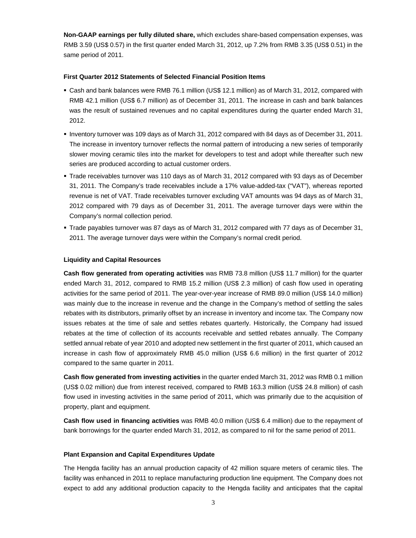**Non-GAAP earnings per fully diluted share,** which excludes share-based compensation expenses, was RMB 3.59 (US\$ 0.57) in the first quarter ended March 31, 2012, up 7.2% from RMB 3.35 (US\$ 0.51) in the same period of 2011.

### **First Quarter 2012 Statements of Selected Financial Position Items**

- Cash and bank balances were RMB 76.1 million (US\$ 12.1 million) as of March 31, 2012, compared with RMB 42.1 million (US\$ 6.7 million) as of December 31, 2011. The increase in cash and bank balances was the result of sustained revenues and no capital expenditures during the quarter ended March 31, 2012.
- Inventory turnover was 109 days as of March 31, 2012 compared with 84 days as of December 31, 2011. The increase in inventory turnover reflects the normal pattern of introducing a new series of temporarily slower moving ceramic tiles into the market for developers to test and adopt while thereafter such new series are produced according to actual customer orders.
- Trade receivables turnover was 110 days as of March 31, 2012 compared with 93 days as of December 31, 2011. The Company's trade receivables include a 17% value-added-tax ("VAT"), whereas reported revenue is net of VAT. Trade receivables turnover excluding VAT amounts was 94 days as of March 31, 2012 compared with 79 days as of December 31, 2011. The average turnover days were within the Company's normal collection period.
- Trade payables turnover was 87 days as of March 31, 2012 compared with 77 days as of December 31, 2011. The average turnover days were within the Company's normal credit period.

#### **Liquidity and Capital Resources**

**Cash flow generated from operating activities** was RMB 73.8 million (US\$ 11.7 million) for the quarter ended March 31, 2012, compared to RMB 15.2 million (US\$ 2.3 million) of cash flow used in operating activities for the same period of 2011. The year-over-year increase of RMB 89.0 million (US\$ 14.0 million) was mainly due to the increase in revenue and the change in the Company's method of settling the sales rebates with its distributors, primarily offset by an increase in inventory and income tax. The Company now issues rebates at the time of sale and settles rebates quarterly. Historically, the Company had issued rebates at the time of collection of its accounts receivable and settled rebates annually. The Company settled annual rebate of year 2010 and adopted new settlement in the first quarter of 2011, which caused an increase in cash flow of approximately RMB 45.0 million (US\$ 6.6 million) in the first quarter of 2012 compared to the same quarter in 2011.

**Cash flow generated from investing activities** in the quarter ended March 31, 2012 was RMB 0.1 million (US\$ 0.02 million) due from interest received, compared to RMB 163.3 million (US\$ 24.8 million) of cash flow used in investing activities in the same period of 2011, which was primarily due to the acquisition of property, plant and equipment.

**Cash flow used in financing activities** was RMB 40.0 million (US\$ 6.4 million) due to the repayment of bank borrowings for the quarter ended March 31, 2012, as compared to nil for the same period of 2011.

### **Plant Expansion and Capital Expenditures Update**

The Hengda facility has an annual production capacity of 42 million square meters of ceramic tiles. The facility was enhanced in 2011 to replace manufacturing production line equipment. The Company does not expect to add any additional production capacity to the Hengda facility and anticipates that the capital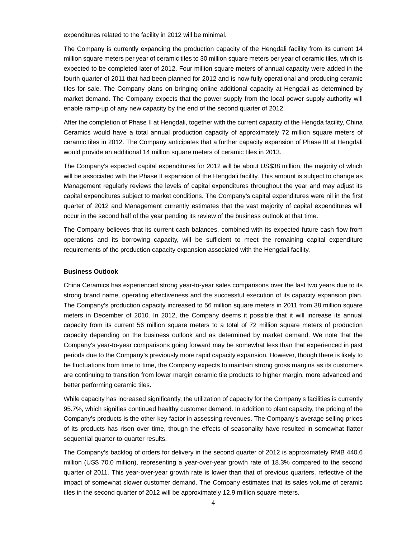expenditures related to the facility in 2012 will be minimal.

The Company is currently expanding the production capacity of the Hengdali facility from its current 14 million square meters per year of ceramic tiles to 30 million square meters per year of ceramic tiles, which is expected to be completed later of 2012. Four million square meters of annual capacity were added in the fourth quarter of 2011 that had been planned for 2012 and is now fully operational and producing ceramic tiles for sale. The Company plans on bringing online additional capacity at Hengdali as determined by market demand. The Company expects that the power supply from the local power supply authority will enable ramp-up of any new capacity by the end of the second quarter of 2012.

After the completion of Phase II at Hengdali, together with the current capacity of the Hengda facility, China Ceramics would have a total annual production capacity of approximately 72 million square meters of ceramic tiles in 2012. The Company anticipates that a further capacity expansion of Phase III at Hengdali would provide an additional 14 million square meters of ceramic tiles in 2013.

The Company's expected capital expenditures for 2012 will be about US\$38 million, the majority of which will be associated with the Phase II expansion of the Hengdali facility. This amount is subject to change as Management regularly reviews the levels of capital expenditures throughout the year and may adjust its capital expenditures subject to market conditions. The Company's capital expenditures were nil in the first quarter of 2012 and Management currently estimates that the vast majority of capital expenditures will occur in the second half of the year pending its review of the business outlook at that time.

The Company believes that its current cash balances, combined with its expected future cash flow from operations and its borrowing capacity, will be sufficient to meet the remaining capital expenditure requirements of the production capacity expansion associated with the Hengdali facility.

### **Business Outlook**

China Ceramics has experienced strong year-to-year sales comparisons over the last two years due to its strong brand name, operating effectiveness and the successful execution of its capacity expansion plan. The Company's production capacity increased to 56 million square meters in 2011 from 38 million square meters in December of 2010. In 2012, the Company deems it possible that it will increase its annual capacity from its current 56 million square meters to a total of 72 million square meters of production capacity depending on the business outlook and as determined by market demand. We note that the Company's year-to-year comparisons going forward may be somewhat less than that experienced in past periods due to the Company's previously more rapid capacity expansion. However, though there is likely to be fluctuations from time to time, the Company expects to maintain strong gross margins as its customers are continuing to transition from lower margin ceramic tile products to higher margin, more advanced and better performing ceramic tiles.

While capacity has increased significantly, the utilization of capacity for the Company's facilities is currently 95.7%, which signifies continued healthy customer demand. In addition to plant capacity, the pricing of the Company's products is the other key factor in assessing revenues. The Company's average selling prices of its products has risen over time, though the effects of seasonality have resulted in somewhat flatter sequential quarter-to-quarter results.

The Company's backlog of orders for delivery in the second quarter of 2012 is approximately RMB 440.6 million (US\$ 70.0 million), representing a year-over-year growth rate of 18.3% compared to the second quarter of 2011. This year-over-year growth rate is lower than that of previous quarters, reflective of the impact of somewhat slower customer demand. The Company estimates that its sales volume of ceramic tiles in the second quarter of 2012 will be approximately 12.9 million square meters.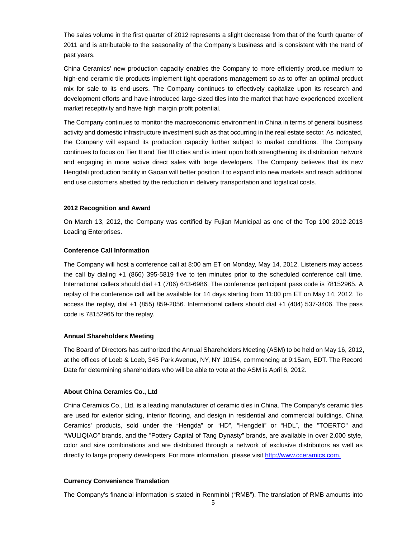The sales volume in the first quarter of 2012 represents a slight decrease from that of the fourth quarter of 2011 and is attributable to the seasonality of the Company's business and is consistent with the trend of past years.

China Ceramics' new production capacity enables the Company to more efficiently produce medium to high-end ceramic tile products implement tight operations management so as to offer an optimal product mix for sale to its end-users. The Company continues to effectively capitalize upon its research and development efforts and have introduced large-sized tiles into the market that have experienced excellent market receptivity and have high margin profit potential.

The Company continues to monitor the macroeconomic environment in China in terms of general business activity and domestic infrastructure investment such as that occurring in the real estate sector. As indicated, the Company will expand its production capacity further subject to market conditions. The Company continues to focus on Tier II and Tier III cities and is intent upon both strengthening its distribution network and engaging in more active direct sales with large developers. The Company believes that its new Hengdali production facility in Gaoan will better position it to expand into new markets and reach additional end use customers abetted by the reduction in delivery transportation and logistical costs.

### **2012 Recognition and Award**

On March 13, 2012, the Company was certified by Fujian Municipal as one of the Top 100 2012-2013 Leading Enterprises.

### **Conference Call Information**

The Company will host a conference call at 8:00 am ET on Monday, May 14, 2012. Listeners may access the call by dialing +1 (866) 395-5819 five to ten minutes prior to the scheduled conference call time. International callers should dial +1 (706) 643-6986. The conference participant pass code is 78152965. A replay of the conference call will be available for 14 days starting from 11:00 pm ET on May 14, 2012. To access the replay, dial +1 (855) 859-2056. International callers should dial +1 (404) 537-3406. The pass code is 78152965 for the replay.

#### **Annual Shareholders Meeting**

The Board of Directors has authorized the Annual Shareholders Meeting (ASM) to be held on May 16, 2012, at the offices of Loeb & Loeb, 345 Park Avenue, NY, NY 10154, commencing at 9:15am, EDT. The Record Date for determining shareholders who will be able to vote at the ASM is April 6, 2012.

### **About China Ceramics Co., Ltd**

China Ceramics Co., Ltd. is a leading manufacturer of ceramic tiles in China. The Company's ceramic tiles are used for exterior siding, interior flooring, and design in residential and commercial buildings. China Ceramics' products, sold under the "Hengda" or "HD", "Hengdeli" or "HDL", the "TOERTO" and "WULIQIAO" brands, and the "Pottery Capital of Tang Dynasty" brands, are available in over 2,000 style, color and size combinations and are distributed through a network of exclusive distributors as well as directly to large property developers. For more information, please visit http://www.cceramics.com.

### **Currency Convenience Translation**

The Company's financial information is stated in Renminbi ("RMB"). The translation of RMB amounts into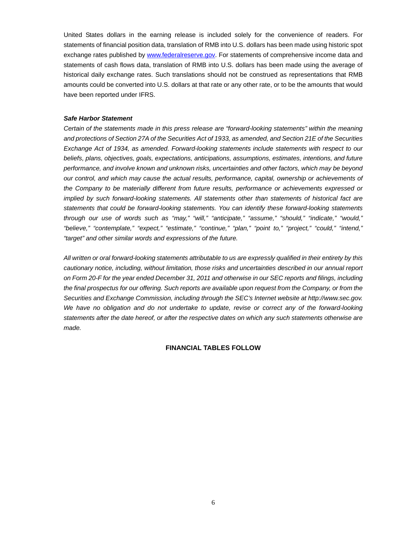United States dollars in the earning release is included solely for the convenience of readers. For statements of financial position data, translation of RMB into U.S. dollars has been made using historic spot exchange rates published by www.federalreserve.gov. For statements of comprehensive income data and statements of cash flows data, translation of RMB into U.S. dollars has been made using the average of historical daily exchange rates. Such translations should not be construed as representations that RMB amounts could be converted into U.S. dollars at that rate or any other rate, or to be the amounts that would have been reported under IFRS.

### *Safe Harbor Statement*

*Certain of the statements made in this press release are "forward-looking statements" within the meaning and protections of Section 27A of the Securities Act of 1933, as amended, and Section 21E of the Securities Exchange Act of 1934, as amended. Forward-looking statements include statements with respect to our beliefs, plans, objectives, goals, expectations, anticipations, assumptions, estimates, intentions, and future performance, and involve known and unknown risks, uncertainties and other factors, which may be beyond our control, and which may cause the actual results, performance, capital, ownership or achievements of the Company to be materially different from future results, performance or achievements expressed or implied by such forward-looking statements. All statements other than statements of historical fact are statements that could be forward-looking statements. You can identify these forward-looking statements through our use of words such as "may," "will," "anticipate," "assume," "should," "indicate," "would," "believe," "contemplate," "expect," "estimate," "continue," "plan," "point to," "project," "could," "intend," "target" and other similar words and expressions of the future.* 

*All written or oral forward-looking statements attributable to us are expressly qualified in their entirety by this cautionary notice, including, without limitation, those risks and uncertainties described in our annual report on Form 20-F for the year ended December 31, 2011 and otherwise in our SEC reports and filings, including the final prospectus for our offering. Such reports are available upon request from the Company, or from the Securities and Exchange Commission, including through the SEC's Internet website at http://www.sec.gov.*  We have no obligation and do not undertake to update, revise or correct any of the forward-looking *statements after the date hereof, or after the respective dates on which any such statements otherwise are made.* 

### **FINANCIAL TABLES FOLLOW**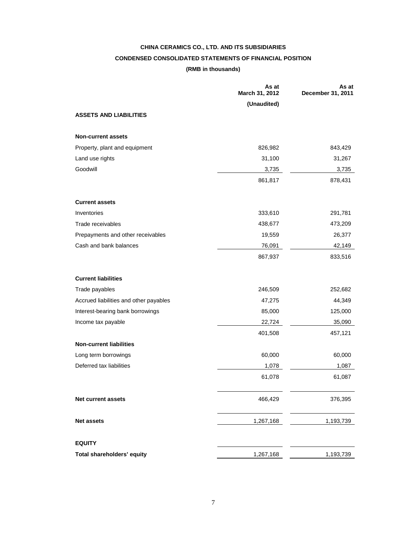# **CHINA CERAMICS CO., LTD. AND ITS SUBSIDIARIES CONDENSED CONSOLIDATED STATEMENTS OF FINANCIAL POSITION**

## **(RMB in thousands)**

|                                        | As at<br>March 31, 2012 | As at<br>December 31, 2011 |
|----------------------------------------|-------------------------|----------------------------|
|                                        | (Unaudited)             |                            |
| <b>ASSETS AND LIABILITIES</b>          |                         |                            |
| <b>Non-current assets</b>              |                         |                            |
| Property, plant and equipment          | 826,982                 | 843,429                    |
| Land use rights                        | 31,100                  | 31,267                     |
| Goodwill                               | 3,735                   | 3,735                      |
|                                        | 861,817                 | 878,431                    |
| <b>Current assets</b>                  |                         |                            |
| Inventories                            | 333,610                 | 291,781                    |
| Trade receivables                      | 438,677                 | 473,209                    |
| Prepayments and other receivables      | 19,559                  | 26,377                     |
| Cash and bank balances                 | 76,091                  | 42,149                     |
|                                        | 867,937                 | 833,516                    |
| <b>Current liabilities</b>             |                         |                            |
| Trade payables                         | 246,509                 | 252,682                    |
| Accrued liabilities and other payables | 47,275                  | 44,349                     |
| Interest-bearing bank borrowings       | 85,000                  | 125,000                    |
| Income tax payable                     | 22,724                  | 35,090                     |
|                                        | 401,508                 | 457,121                    |
| <b>Non-current liabilities</b>         |                         |                            |
| Long term borrowings                   | 60,000                  | 60,000                     |
| Deferred tax liabilities               | 1,078                   | 1,087                      |
|                                        | 61,078                  | 61,087                     |
| <b>Net current assets</b>              | 466,429                 | 376,395                    |
| <b>Net assets</b>                      | 1,267,168               | 1,193,739                  |
| <b>EQUITY</b>                          |                         |                            |
| Total shareholders' equity             | 1,267,168               | 1,193,739                  |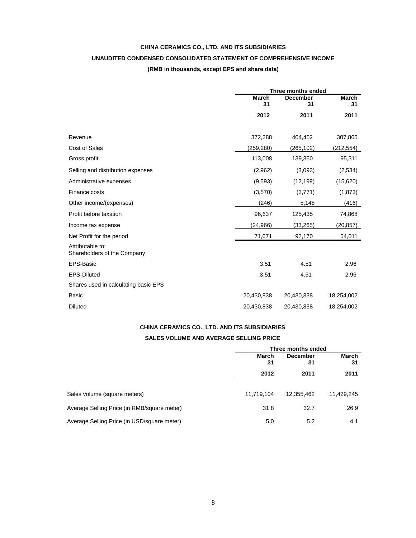# **CHINA CERAMICS CO., LTD. AND ITS SUBSIDIARIES UNAUDITED CONDENSED CONSOLIDATED STATEMENT OF COMPREHENSIVE INCOME**

### **(RMB in thousands, except EPS and share data)**

|                                                 |              | Three months ended |            |  |  |
|-------------------------------------------------|--------------|--------------------|------------|--|--|
|                                                 | <b>March</b> | <b>December</b>    |            |  |  |
|                                                 | 31           | 31                 | 31         |  |  |
|                                                 | 2012         | 2011               | 2011       |  |  |
|                                                 |              |                    |            |  |  |
| Revenue                                         | 372,288      | 404,452            | 307,865    |  |  |
| <b>Cost of Sales</b>                            | (259,280)    | (265,102)          | (212,554)  |  |  |
| Gross profit                                    | 113,008      | 139,350            | 95,311     |  |  |
| Selling and distribution expenses               | (2,962)      | (3,093)            | (2,534)    |  |  |
| Administrative expenses                         | (9,593)      | (12, 199)          | (15,620)   |  |  |
| Finance costs                                   | (3,570)      | (3,771)            | (1, 873)   |  |  |
| Other income/(expenses)                         | (246)        | 5,148              | (416)      |  |  |
| Profit before taxation                          | 96,637       | 125,435            | 74,868     |  |  |
| Income tax expense                              | (24,966)     | (33, 265)          | (20, 857)  |  |  |
| Net Profit for the period                       | 71,671       | 92,170             | 54,011     |  |  |
| Attributable to:<br>Shareholders of the Company |              |                    |            |  |  |
| EPS-Basic                                       | 3.51         | 4.51               | 2.96       |  |  |
| <b>EPS-Diluted</b>                              | 3.51         | 4.51               | 2.96       |  |  |
| Shares used in calculating basic EPS            |              |                    |            |  |  |
| <b>Basic</b>                                    | 20,430,838   | 20,430,838         | 18,254,002 |  |  |
| Diluted                                         | 20,430,838   | 20,430,838         | 18,254,002 |  |  |

# **CHINA CERAMICS CO., LTD. AND ITS SUBSIDIARIES**

## **SALES VOLUME AND AVERAGE SELLING PRICE**

|                                             | Three months ended |                 |            |  |
|---------------------------------------------|--------------------|-----------------|------------|--|
|                                             | March              | <b>December</b> | March      |  |
|                                             | 31                 | 31              | 31         |  |
|                                             | 2012               | 2011            | 2011       |  |
|                                             |                    |                 |            |  |
| Sales volume (square meters)                | 11,719,104         | 12,355,462      | 11,429,245 |  |
| Average Selling Price (in RMB/square meter) | 31.8               | 32.7            | 26.9       |  |
| Average Selling Price (in USD/square meter) | 5.0                | 5.2             | 4.1        |  |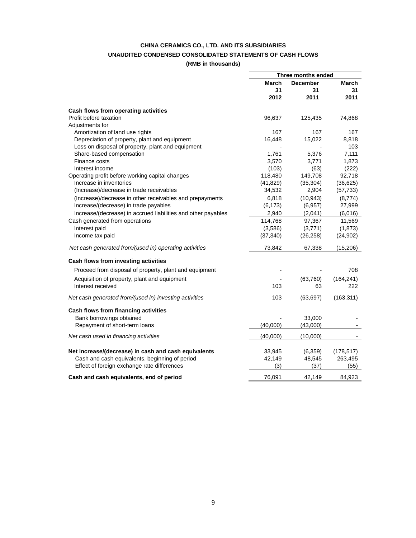# **CHINA CERAMICS CO., LTD. AND ITS SUBSIDIARIES UNAUDITED CONDENSED CONSOLIDATED STATEMENTS OF CASH FLOWS**

**(RMB in thousands)** 

|                                                               | Three months ended |                 |            |
|---------------------------------------------------------------|--------------------|-----------------|------------|
|                                                               | March              | <b>December</b> | March      |
|                                                               | 31                 | 31              | 31         |
|                                                               | 2012               | 2011            | 2011       |
| Cash flows from operating activities                          |                    |                 |            |
| Profit before taxation                                        | 96,637             | 125,435         | 74,868     |
| Adjustments for                                               |                    |                 |            |
| Amortization of land use rights                               | 167                | 167             | 167        |
| Depreciation of property, plant and equipment                 | 16,448             | 15,022          | 8,818      |
| Loss on disposal of property, plant and equipment             |                    |                 | 103        |
| Share-based compensation                                      | 1,761              | 5,376           | 7,111      |
| Finance costs                                                 | 3,570              | 3,771           | 1,873      |
| Interest income                                               | (103)              | (63)            | (222)      |
| Operating profit before working capital changes               | 118,480            | 149,708         | 92,718     |
| Increase in inventories                                       | (41, 829)          | (35, 304)       | (36, 625)  |
| (Increase)/decrease in trade receivables                      | 34,532             | 2,904           | (57, 733)  |
| (Increase)/decrease in other receivables and prepayments      | 6,818              | (10, 943)       | (8,774)    |
| Increase/(decrease) in trade payables                         | (6, 173)           | (6,957)         | 27,999     |
| Increase/(decrease) in accrued liabilities and other payables | 2,940              | (2,041)         | (6,016)    |
| Cash generated from operations                                | 114,768            | 97,367          | 11,569     |
| Interest paid                                                 | (3,586)            | (3,771)         | (1,873)    |
| Income tax paid                                               | (37, 340)          | (26, 258)       | (24, 902)  |
| Net cash generated from/(used in) operating activities        | 73,842             | 67,338          | (15,206)   |
| Cash flows from investing activities                          |                    |                 |            |
| Proceed from disposal of property, plant and equipment        |                    |                 | 708        |
| Acquisition of property, plant and equipment                  |                    | (63, 760)       | (164, 241) |
| Interest received                                             | 103                | 63              | 222        |
| Net cash generated from/(used in) investing activities        | 103                | (63, 697)       | (163, 311) |
|                                                               |                    |                 |            |
| Cash flows from financing activities                          |                    |                 |            |
| Bank borrowings obtained                                      |                    | 33,000          |            |
| Repayment of short-term loans                                 | (40,000)           | (43,000)        |            |
| Net cash used in financing activities                         | (40,000)           | (10,000)        |            |
| Net increase/(decrease) in cash and cash equivalents          | 33,945             | (6, 359)        | (178, 517) |
| Cash and cash equivalents, beginning of period                | 42,149             | 48,545          | 263,495    |
| Effect of foreign exchange rate differences                   | (3)                | (37)            | (55)       |
| Cash and cash equivalents, end of period                      | 76.091             | 42.149          | 84.923     |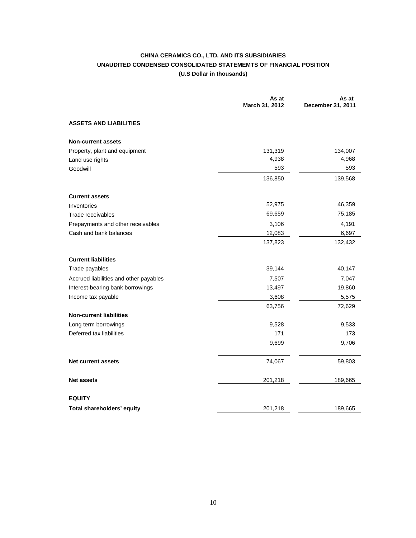## **CHINA CERAMICS CO., LTD. AND ITS SUBSIDIARIES UNAUDITED CONDENSED CONSOLIDATED STATEMEMTS OF FINANCIAL POSITION (U.S Dollar in thousands)**

|                                        | As at<br>March 31, 2012 | As at<br>December 31, 2011 |
|----------------------------------------|-------------------------|----------------------------|
| <b>ASSETS AND LIABILITIES</b>          |                         |                            |
| <b>Non-current assets</b>              |                         |                            |
| Property, plant and equipment          | 131,319                 | 134,007                    |
| Land use rights                        | 4,938                   | 4,968                      |
| Goodwill                               | 593                     | 593                        |
|                                        | 136,850                 | 139,568                    |
| <b>Current assets</b>                  |                         |                            |
| Inventories                            | 52,975                  | 46,359                     |
| Trade receivables                      | 69,659                  | 75,185                     |
| Prepayments and other receivables      | 3,106                   | 4,191                      |
| Cash and bank balances                 | 12,083                  | 6,697                      |
|                                        | 137,823                 | 132,432                    |
| <b>Current liabilities</b>             |                         |                            |
| Trade payables                         | 39,144                  | 40,147                     |
| Accrued liabilities and other payables | 7,507                   | 7,047                      |
| Interest-bearing bank borrowings       | 13,497                  | 19,860                     |
| Income tax payable                     | 3,608                   | 5,575                      |
|                                        | 63,756                  | 72,629                     |
| <b>Non-current liabilities</b>         |                         |                            |
| Long term borrowings                   | 9,528                   | 9,533                      |
| Deferred tax liabilities               | 171                     | 173                        |
|                                        | 9,699                   | 9,706                      |
| <b>Net current assets</b>              | 74,067                  | 59,803                     |
| <b>Net assets</b>                      | 201,218                 | 189,665                    |
| <b>EQUITY</b>                          |                         |                            |
| Total shareholders' equity             | 201,218                 | 189,665                    |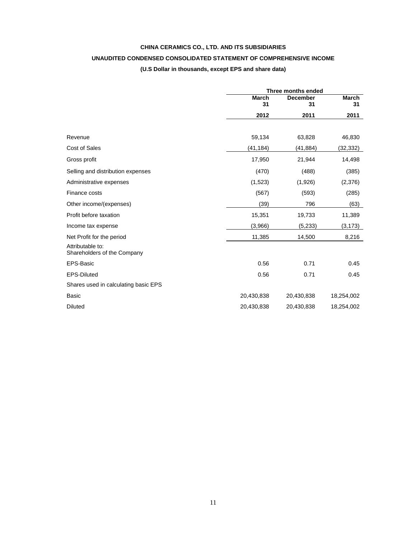# **CHINA CERAMICS CO., LTD. AND ITS SUBSIDIARIES UNAUDITED CONDENSED CONSOLIDATED STATEMENT OF COMPREHENSIVE INCOME**

### **(U.S Dollar in thousands, except EPS and share data)**

|                                                 | Three months ended |                 |            |  |
|-------------------------------------------------|--------------------|-----------------|------------|--|
|                                                 | <b>March</b>       | <b>December</b> |            |  |
|                                                 | 31                 | 31              | 31         |  |
|                                                 | 2012               | 2011            | 2011       |  |
|                                                 |                    |                 |            |  |
| Revenue                                         | 59,134             | 63,828          | 46,830     |  |
| Cost of Sales                                   | (41, 184)          | (41, 884)       | (32, 332)  |  |
| Gross profit                                    | 17,950             | 21,944          | 14,498     |  |
| Selling and distribution expenses               | (470)              | (488)           | (385)      |  |
| Administrative expenses                         | (1,523)            | (1,926)         | (2,376)    |  |
| Finance costs                                   | (567)              | (593)           | (285)      |  |
| Other income/(expenses)                         | (39)               | 796             | (63)       |  |
| Profit before taxation                          | 15,351             | 19,733          | 11,389     |  |
| Income tax expense                              | (3,966)            | (5,233)         | (3, 173)   |  |
| Net Profit for the period                       | 11,385             | 14,500          | 8,216      |  |
| Attributable to:<br>Shareholders of the Company |                    |                 |            |  |
| EPS-Basic                                       | 0.56               | 0.71            | 0.45       |  |
| <b>EPS-Diluted</b>                              | 0.56               | 0.71            | 0.45       |  |
| Shares used in calculating basic EPS            |                    |                 |            |  |
| <b>Basic</b>                                    | 20,430,838         | 20,430,838      | 18,254,002 |  |
| <b>Diluted</b>                                  | 20,430,838         | 20,430,838      | 18,254,002 |  |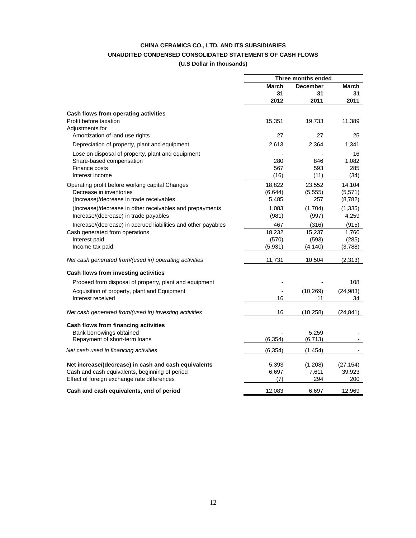# **CHINA CERAMICS CO., LTD. AND ITS SUBSIDIARIES UNAUDITED CONDENSED CONSOLIDATED STATEMENTS OF CASH FLOWS**

**(U.S Dollar in thousands)** 

|                                                               |          | Three months ended |           |
|---------------------------------------------------------------|----------|--------------------|-----------|
|                                                               | March    | <b>December</b>    | March     |
|                                                               | 31       | 31                 | 31        |
|                                                               | 2012     | 2011               | 2011      |
| Cash flows from operating activities                          |          |                    |           |
| Profit before taxation                                        | 15,351   | 19,733             | 11,389    |
| Adjustments for                                               |          |                    |           |
| Amortization of land use rights                               | 27       | 27                 | 25        |
| Depreciation of property, plant and equipment                 | 2,613    | 2,364              | 1,341     |
| Lose on disposal of property, plant and equipment             |          |                    | 16        |
| Share-based compensation                                      | 280      | 846                | 1,082     |
| Finance costs                                                 | 567      | 593                | 285       |
| Interest income                                               | (16)     | (11)               | (34)      |
| Operating profit before working capital Changes               | 18,822   | 23,552             | 14,104    |
| Decrease in inventories                                       | (6, 644) | (5, 555)           | (5,571)   |
| (Increase)/decrease in trade receivables                      | 5,485    | 257                | (8, 782)  |
| (Increase)/decrease in other receivables and prepayments      | 1,083    | (1,704)            | (1, 335)  |
| Increase/(decrease) in trade payables                         | (981)    | (997)              | 4,259     |
| Increase/(decrease) in accrued liabilities and other payables | 467      | (316)              | (915)     |
| Cash generated from operations                                | 18,232   | 15,237             | 1,760     |
| Interest paid                                                 | (570)    | (593)              | (285)     |
| Income tax paid                                               | (5,931)  | (4, 140)           | (3,788)   |
| Net cash generated from/(used in) operating activities        | 11,731   | 10,504             | (2, 313)  |
| Cash flows from investing activities                          |          |                    |           |
| Proceed from disposal of property, plant and equipment        |          |                    | 108       |
| Acquisition of property, plant and Equipment                  |          | (10, 269)          | (24, 983) |
| Interest received                                             | 16       | 11                 | 34        |
|                                                               |          |                    |           |
| Net cash generated from/(used in) investing activities        | 16       | (10, 258)          | (24, 841) |
| Cash flows from financing activities                          |          |                    |           |
| Bank borrowings obtained                                      |          | 5,259              |           |
| Repayment of short-term loans                                 | (6, 354) | (6, 713)           |           |
| Net cash used in financing activities                         | (6, 354) | (1,454)            |           |
| Net increase/(decrease) in cash and cash equivalents          | 5,393    | (1,208)            | (27, 154) |
| Cash and cash equivalents, beginning of period                | 6,697    | 7,611              | 39,923    |
| Effect of foreign exchange rate differences                   | (7)      | 294                | 200       |
|                                                               |          |                    |           |
| Cash and cash equivalents, end of period                      | 12,083   | 6,697              | 12.969    |